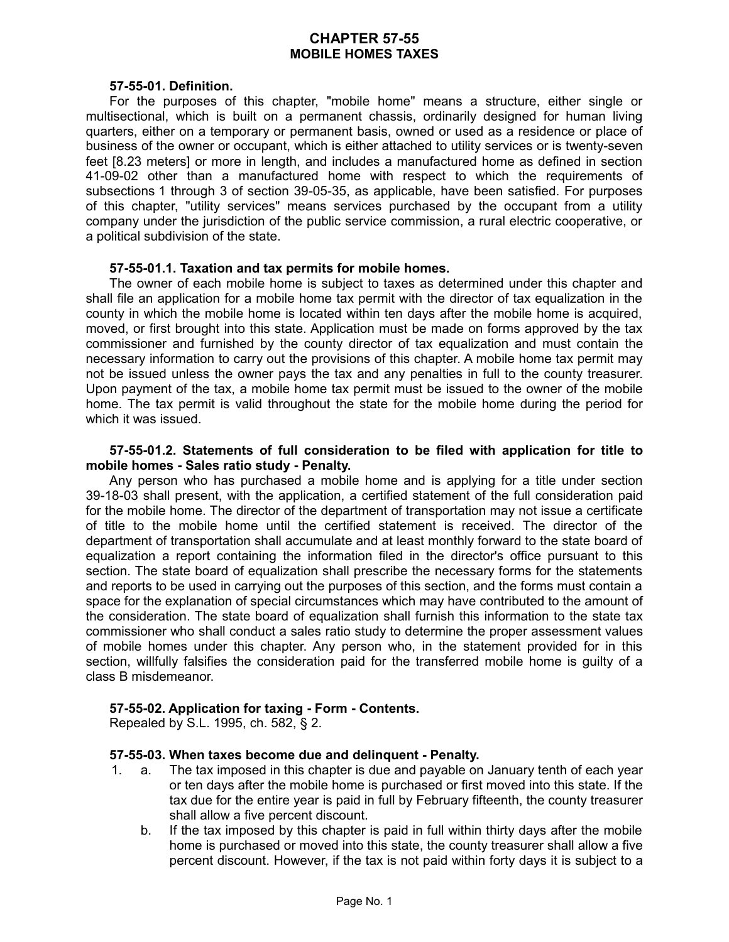# **CHAPTER 57-55 MOBILE HOMES TAXES**

### **57-55-01. Definition.**

For the purposes of this chapter, "mobile home" means a structure, either single or multisectional, which is built on a permanent chassis, ordinarily designed for human living quarters, either on a temporary or permanent basis, owned or used as a residence or place of business of the owner or occupant, which is either attached to utility services or is twenty-seven feet [8.23 meters] or more in length, and includes a manufactured home as defined in section 41-09-02 other than a manufactured home with respect to which the requirements of subsections 1 through 3 of section 39-05-35, as applicable, have been satisfied. For purposes of this chapter, "utility services" means services purchased by the occupant from a utility company under the jurisdiction of the public service commission, a rural electric cooperative, or a political subdivision of the state.

### **57-55-01.1. Taxation and tax permits for mobile homes.**

The owner of each mobile home is subject to taxes as determined under this chapter and shall file an application for a mobile home tax permit with the director of tax equalization in the county in which the mobile home is located within ten days after the mobile home is acquired, moved, or first brought into this state. Application must be made on forms approved by the tax commissioner and furnished by the county director of tax equalization and must contain the necessary information to carry out the provisions of this chapter. A mobile home tax permit may not be issued unless the owner pays the tax and any penalties in full to the county treasurer. Upon payment of the tax, a mobile home tax permit must be issued to the owner of the mobile home. The tax permit is valid throughout the state for the mobile home during the period for which it was issued.

### **57-55-01.2. Statements of full consideration to be filed with application for title to mobile homes - Sales ratio study - Penalty.**

Any person who has purchased a mobile home and is applying for a title under section 39-18-03 shall present, with the application, a certified statement of the full consideration paid for the mobile home. The director of the department of transportation may not issue a certificate of title to the mobile home until the certified statement is received. The director of the department of transportation shall accumulate and at least monthly forward to the state board of equalization a report containing the information filed in the director's office pursuant to this section. The state board of equalization shall prescribe the necessary forms for the statements and reports to be used in carrying out the purposes of this section, and the forms must contain a space for the explanation of special circumstances which may have contributed to the amount of the consideration. The state board of equalization shall furnish this information to the state tax commissioner who shall conduct a sales ratio study to determine the proper assessment values of mobile homes under this chapter. Any person who, in the statement provided for in this section, willfully falsifies the consideration paid for the transferred mobile home is guilty of a class B misdemeanor.

### **57-55-02. Application for taxing - Form - Contents.**

Repealed by S.L. 1995, ch. 582, § 2.

## **57-55-03. When taxes become due and delinquent - Penalty.**

- 1. a. The tax imposed in this chapter is due and payable on January tenth of each year or ten days after the mobile home is purchased or first moved into this state. If the tax due for the entire year is paid in full by February fifteenth, the county treasurer shall allow a five percent discount.
	- b. If the tax imposed by this chapter is paid in full within thirty days after the mobile home is purchased or moved into this state, the county treasurer shall allow a five percent discount. However, if the tax is not paid within forty days it is subject to a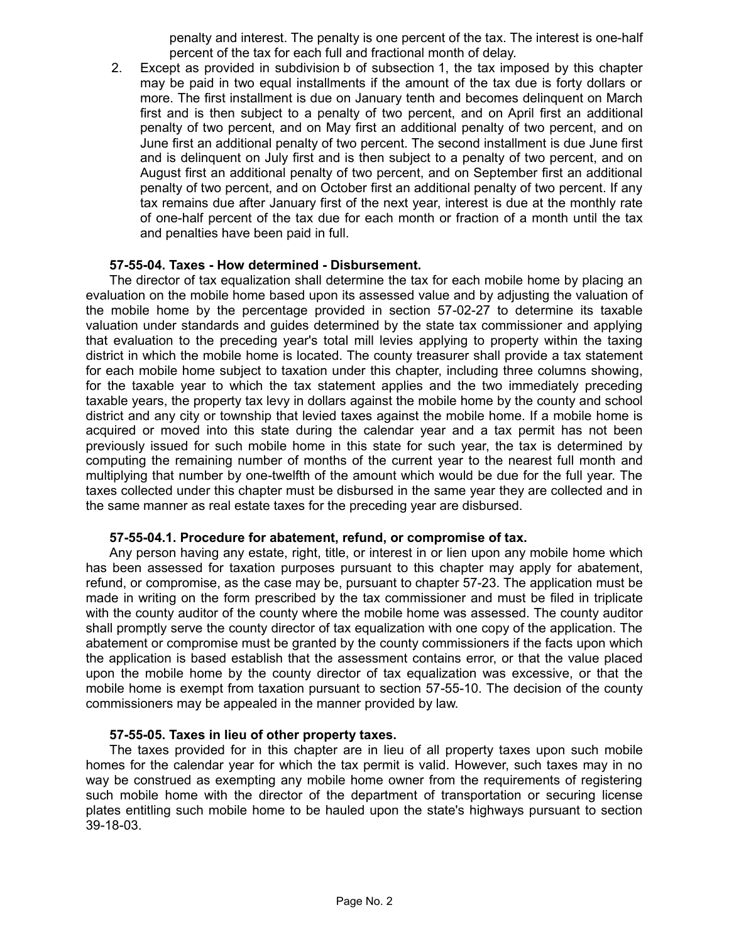penalty and interest. The penalty is one percent of the tax. The interest is one-half percent of the tax for each full and fractional month of delay.

2. Except as provided in subdivision b of subsection 1, the tax imposed by this chapter may be paid in two equal installments if the amount of the tax due is forty dollars or more. The first installment is due on January tenth and becomes delinquent on March first and is then subject to a penalty of two percent, and on April first an additional penalty of two percent, and on May first an additional penalty of two percent, and on June first an additional penalty of two percent. The second installment is due June first and is delinquent on July first and is then subject to a penalty of two percent, and on August first an additional penalty of two percent, and on September first an additional penalty of two percent, and on October first an additional penalty of two percent. If any tax remains due after January first of the next year, interest is due at the monthly rate of one-half percent of the tax due for each month or fraction of a month until the tax and penalties have been paid in full.

#### **57-55-04. Taxes - How determined - Disbursement.**

The director of tax equalization shall determine the tax for each mobile home by placing an evaluation on the mobile home based upon its assessed value and by adjusting the valuation of the mobile home by the percentage provided in section 57-02-27 to determine its taxable valuation under standards and guides determined by the state tax commissioner and applying that evaluation to the preceding year's total mill levies applying to property within the taxing district in which the mobile home is located. The county treasurer shall provide a tax statement for each mobile home subject to taxation under this chapter, including three columns showing, for the taxable year to which the tax statement applies and the two immediately preceding taxable years, the property tax levy in dollars against the mobile home by the county and school district and any city or township that levied taxes against the mobile home. If a mobile home is acquired or moved into this state during the calendar year and a tax permit has not been previously issued for such mobile home in this state for such year, the tax is determined by computing the remaining number of months of the current year to the nearest full month and multiplying that number by one-twelfth of the amount which would be due for the full year. The taxes collected under this chapter must be disbursed in the same year they are collected and in the same manner as real estate taxes for the preceding year are disbursed.

### **57-55-04.1. Procedure for abatement, refund, or compromise of tax.**

Any person having any estate, right, title, or interest in or lien upon any mobile home which has been assessed for taxation purposes pursuant to this chapter may apply for abatement, refund, or compromise, as the case may be, pursuant to chapter 57-23. The application must be made in writing on the form prescribed by the tax commissioner and must be filed in triplicate with the county auditor of the county where the mobile home was assessed. The county auditor shall promptly serve the county director of tax equalization with one copy of the application. The abatement or compromise must be granted by the county commissioners if the facts upon which the application is based establish that the assessment contains error, or that the value placed upon the mobile home by the county director of tax equalization was excessive, or that the mobile home is exempt from taxation pursuant to section 57-55-10. The decision of the county commissioners may be appealed in the manner provided by law.

### **57-55-05. Taxes in lieu of other property taxes.**

The taxes provided for in this chapter are in lieu of all property taxes upon such mobile homes for the calendar year for which the tax permit is valid. However, such taxes may in no way be construed as exempting any mobile home owner from the requirements of registering such mobile home with the director of the department of transportation or securing license plates entitling such mobile home to be hauled upon the state's highways pursuant to section 39-18-03.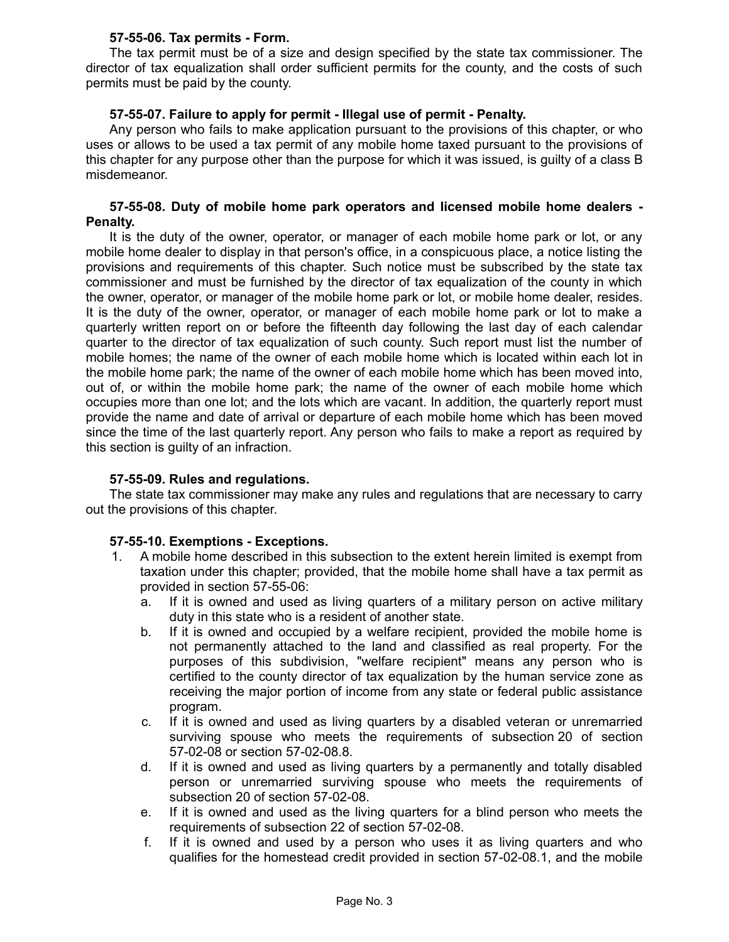## **57-55-06. Tax permits - Form.**

The tax permit must be of a size and design specified by the state tax commissioner. The director of tax equalization shall order sufficient permits for the county, and the costs of such permits must be paid by the county.

# **57-55-07. Failure to apply for permit - Illegal use of permit - Penalty.**

Any person who fails to make application pursuant to the provisions of this chapter, or who uses or allows to be used a tax permit of any mobile home taxed pursuant to the provisions of this chapter for any purpose other than the purpose for which it was issued, is guilty of a class B misdemeanor.

### **57-55-08. Duty of mobile home park operators and licensed mobile home dealers - Penalty.**

It is the duty of the owner, operator, or manager of each mobile home park or lot, or any mobile home dealer to display in that person's office, in a conspicuous place, a notice listing the provisions and requirements of this chapter. Such notice must be subscribed by the state tax commissioner and must be furnished by the director of tax equalization of the county in which the owner, operator, or manager of the mobile home park or lot, or mobile home dealer, resides. It is the duty of the owner, operator, or manager of each mobile home park or lot to make a quarterly written report on or before the fifteenth day following the last day of each calendar quarter to the director of tax equalization of such county. Such report must list the number of mobile homes; the name of the owner of each mobile home which is located within each lot in the mobile home park; the name of the owner of each mobile home which has been moved into, out of, or within the mobile home park; the name of the owner of each mobile home which occupies more than one lot; and the lots which are vacant. In addition, the quarterly report must provide the name and date of arrival or departure of each mobile home which has been moved since the time of the last quarterly report. Any person who fails to make a report as required by this section is guilty of an infraction.

### **57-55-09. Rules and regulations.**

The state tax commissioner may make any rules and regulations that are necessary to carry out the provisions of this chapter.

### **57-55-10. Exemptions - Exceptions.**

- 1. A mobile home described in this subsection to the extent herein limited is exempt from taxation under this chapter; provided, that the mobile home shall have a tax permit as provided in section 57-55-06:
	- a. If it is owned and used as living quarters of a military person on active military duty in this state who is a resident of another state.
	- b. If it is owned and occupied by a welfare recipient, provided the mobile home is not permanently attached to the land and classified as real property. For the purposes of this subdivision, "welfare recipient" means any person who is certified to the county director of tax equalization by the human service zone as receiving the major portion of income from any state or federal public assistance program.
	- c. If it is owned and used as living quarters by a disabled veteran or unremarried surviving spouse who meets the requirements of subsection 20 of section 57-02-08 or section 57-02-08.8.
	- d. If it is owned and used as living quarters by a permanently and totally disabled person or unremarried surviving spouse who meets the requirements of subsection 20 of section 57-02-08.
	- e. If it is owned and used as the living quarters for a blind person who meets the requirements of subsection 22 of section 57-02-08.
	- f. If it is owned and used by a person who uses it as living quarters and who qualifies for the homestead credit provided in section 57-02-08.1, and the mobile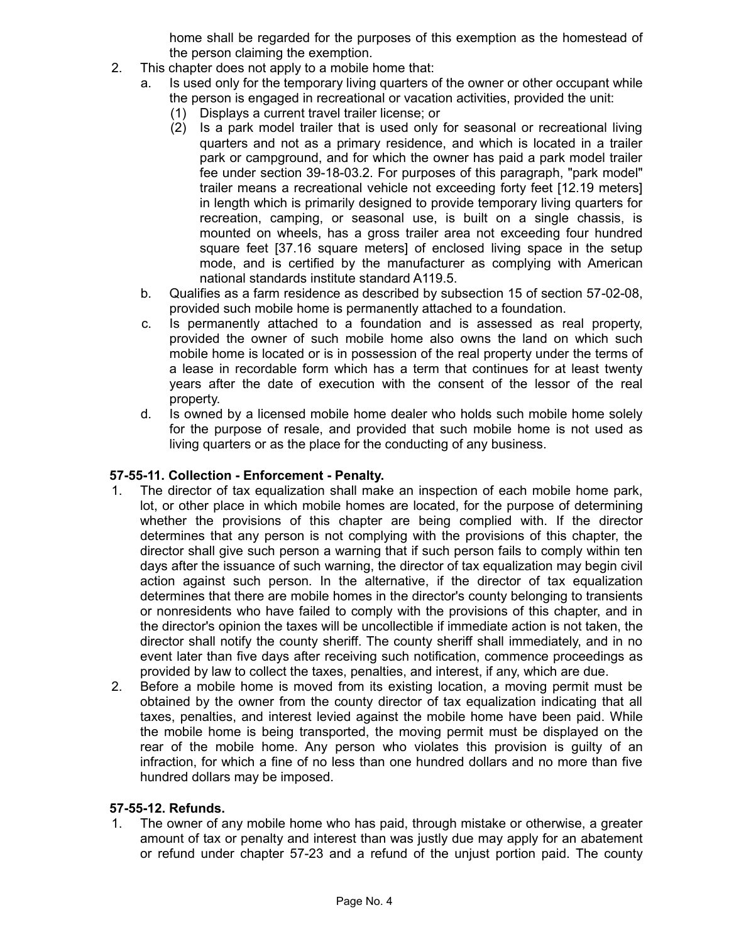home shall be regarded for the purposes of this exemption as the homestead of the person claiming the exemption.

- 2. This chapter does not apply to a mobile home that:
	- a. Is used only for the temporary living quarters of the owner or other occupant while the person is engaged in recreational or vacation activities, provided the unit:
		- (1) Displays a current travel trailer license; or
		- (2) Is a park model trailer that is used only for seasonal or recreational living quarters and not as a primary residence, and which is located in a trailer park or campground, and for which the owner has paid a park model trailer fee under section 39-18-03.2. For purposes of this paragraph, "park model" trailer means a recreational vehicle not exceeding forty feet [12.19 meters] in length which is primarily designed to provide temporary living quarters for recreation, camping, or seasonal use, is built on a single chassis, is mounted on wheels, has a gross trailer area not exceeding four hundred square feet [37.16 square meters] of enclosed living space in the setup mode, and is certified by the manufacturer as complying with American national standards institute standard A119.5.
	- b. Qualifies as a farm residence as described by subsection 15 of section 57-02-08, provided such mobile home is permanently attached to a foundation.
	- c. Is permanently attached to a foundation and is assessed as real property, provided the owner of such mobile home also owns the land on which such mobile home is located or is in possession of the real property under the terms of a lease in recordable form which has a term that continues for at least twenty years after the date of execution with the consent of the lessor of the real property.
	- d. Is owned by a licensed mobile home dealer who holds such mobile home solely for the purpose of resale, and provided that such mobile home is not used as living quarters or as the place for the conducting of any business.

### **57-55-11. Collection - Enforcement - Penalty.**

- 1. The director of tax equalization shall make an inspection of each mobile home park, lot, or other place in which mobile homes are located, for the purpose of determining whether the provisions of this chapter are being complied with. If the director determines that any person is not complying with the provisions of this chapter, the director shall give such person a warning that if such person fails to comply within ten days after the issuance of such warning, the director of tax equalization may begin civil action against such person. In the alternative, if the director of tax equalization determines that there are mobile homes in the director's county belonging to transients or nonresidents who have failed to comply with the provisions of this chapter, and in the director's opinion the taxes will be uncollectible if immediate action is not taken, the director shall notify the county sheriff. The county sheriff shall immediately, and in no event later than five days after receiving such notification, commence proceedings as provided by law to collect the taxes, penalties, and interest, if any, which are due.
- 2. Before a mobile home is moved from its existing location, a moving permit must be obtained by the owner from the county director of tax equalization indicating that all taxes, penalties, and interest levied against the mobile home have been paid. While the mobile home is being transported, the moving permit must be displayed on the rear of the mobile home. Any person who violates this provision is guilty of an infraction, for which a fine of no less than one hundred dollars and no more than five hundred dollars may be imposed.

### **57-55-12. Refunds.**

1. The owner of any mobile home who has paid, through mistake or otherwise, a greater amount of tax or penalty and interest than was justly due may apply for an abatement or refund under chapter 57-23 and a refund of the unjust portion paid. The county